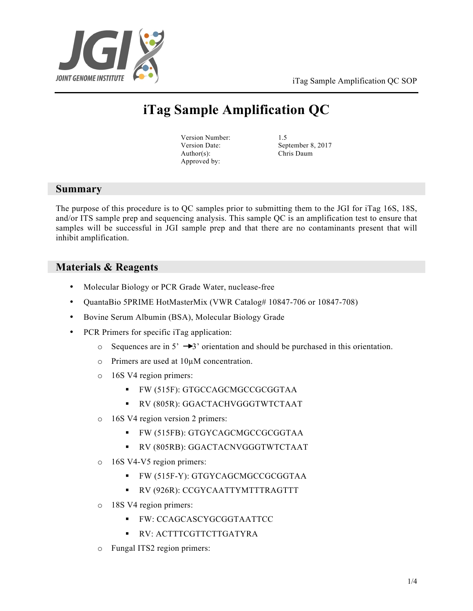

iTag Sample Amplification QC SOP

# **iTag Sample Amplification QC**

Version Number: 1.5 Author(s): Chris Daum Approved by:

Version Date: September 8, 2017

## **Summary**

The purpose of this procedure is to QC samples prior to submitting them to the JGI for iTag 16S, 18S, and/or ITS sample prep and sequencing analysis. This sample QC is an amplification test to ensure that samples will be successful in JGI sample prep and that there are no contaminants present that will inhibit amplification.

## **Materials & Reagents**

- Molecular Biology or PCR Grade Water, nuclease-free
- QuantaBio 5PRIME HotMasterMix (VWR Catalog# 10847-706 or 10847-708)
- Bovine Serum Albumin (BSA), Molecular Biology Grade
- PCR Primers for specific iTag application:
	- $\circ$  Sequences are in 5'  $\rightarrow$ 3' orientation and should be purchased in this orientation.
	- o Primers are used at 10µM concentration.
	- o 16S V4 region primers:
		- § FW (515F): GTGCCAGCMGCCGCGGTAA
		- § RV (805R): GGACTACHVGGGTWTCTAAT
	- o 16S V4 region version 2 primers:
		- § FW (515FB): GTGYCAGCMGCCGCGGTAA
		- § RV (805RB): GGACTACNVGGGTWTCTAAT
	- o 16S V4-V5 region primers:
		- § FW (515F-Y): GTGYCAGCMGCCGCGGTAA
		- § RV (926R): CCGYCAATTYMTTTRAGTTT
	- o 18S V4 region primers:
		- § FW: CCAGCASCYGCGGTAATTCC
		- § RV: ACTTTCGTTCTTGATYRA
	- o Fungal ITS2 region primers: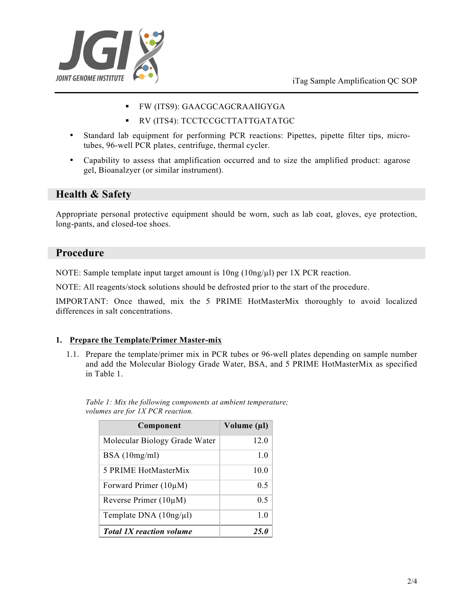

- § FW (ITS9): GAACGCAGCRAAIIGYGA
- § RV (ITS4): TCCTCCGCTTATTGATATGC
- Standard lab equipment for performing PCR reactions: Pipettes, pipette filter tips, microtubes, 96-well PCR plates, centrifuge, thermal cycler.
- Capability to assess that amplification occurred and to size the amplified product: agarose gel, Bioanalzyer (or similar instrument).

## **Health & Safety**

Appropriate personal protective equipment should be worn, such as lab coat, gloves, eye protection, long-pants, and closed-toe shoes.

### **Procedure**

NOTE: Sample template input target amount is  $10ng(10ng/\mu)$  per 1X PCR reaction.

NOTE: All reagents/stock solutions should be defrosted prior to the start of the procedure.

IMPORTANT: Once thawed, mix the 5 PRIME HotMasterMix thoroughly to avoid localized differences in salt concentrations.

#### **1. Prepare the Template/Primer Master-mix**

1.1. Prepare the template/primer mix in PCR tubes or 96-well plates depending on sample number and add the Molecular Biology Grade Water, BSA, and 5 PRIME HotMasterMix as specified in Table 1.

| Component                       | Volume (µl)    |
|---------------------------------|----------------|
| Molecular Biology Grade Water   | 12.0           |
| BSA(10mg/ml)                    | 1 <sub>0</sub> |
| 5 PRIME HotMasterMix            | 10.0           |
| Forward Primer $(10\mu M)$      | 0.5            |
| Reverse Primer $(10\mu M)$      | 0.5            |
| Template DNA (10ng/µl)          | 1 <sub>0</sub> |
| <b>Total 1X reaction volume</b> | 25.O           |

*Table 1: Mix the following components at ambient temperature; volumes are for 1X PCR reaction.*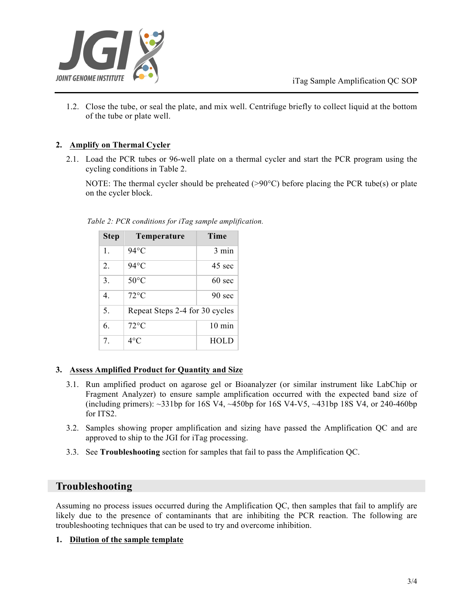

1.2. Close the tube, or seal the plate, and mix well. Centrifuge briefly to collect liquid at the bottom of the tube or plate well.

#### **2. Amplify on Thermal Cycler**

2.1. Load the PCR tubes or 96-well plate on a thermal cycler and start the PCR program using the cycling conditions in Table 2.

NOTE: The thermal cycler should be preheated  $(>90^{\circ}C)$  before placing the PCR tube(s) or plate on the cycler block.

| <b>Step</b>    | Temperature                    | Time             |
|----------------|--------------------------------|------------------|
| $\mathbf{1}$ . | $94^{\circ}$ C                 | 3 min            |
| 2.             | $94^{\circ}$ C                 | 45 sec           |
| 3.             | $50^{\circ}$ C                 | $60 \text{ sec}$ |
| 4              | $72^{\circ}$ C                 | $90 \text{ sec}$ |
| 5.             | Repeat Steps 2-4 for 30 cycles |                  |
| 6.             | $72^{\circ}$ C                 | $10 \text{ min}$ |
| 7.             | $4^{\circ}$ C                  | <b>HOLD</b>      |

*Table 2: PCR conditions for iTag sample amplification.*

#### **3. Assess Amplified Product for Quantity and Size**

- 3.1. Run amplified product on agarose gel or Bioanalyzer (or similar instrument like LabChip or Fragment Analyzer) to ensure sample amplification occurred with the expected band size of (including primers):  $\sim$ 331bp for 16S V4,  $\sim$ 450bp for 16S V4-V5,  $\sim$ 431bp 18S V4, or 240-460bp for ITS2.
- 3.2. Samples showing proper amplification and sizing have passed the Amplification QC and are approved to ship to the JGI for iTag processing.
- 3.3. See **Troubleshooting** section for samples that fail to pass the Amplification QC.

### **Troubleshooting**

Assuming no process issues occurred during the Amplification QC, then samples that fail to amplify are likely due to the presence of contaminants that are inhibiting the PCR reaction. The following are troubleshooting techniques that can be used to try and overcome inhibition.

#### **1. Dilution of the sample template**